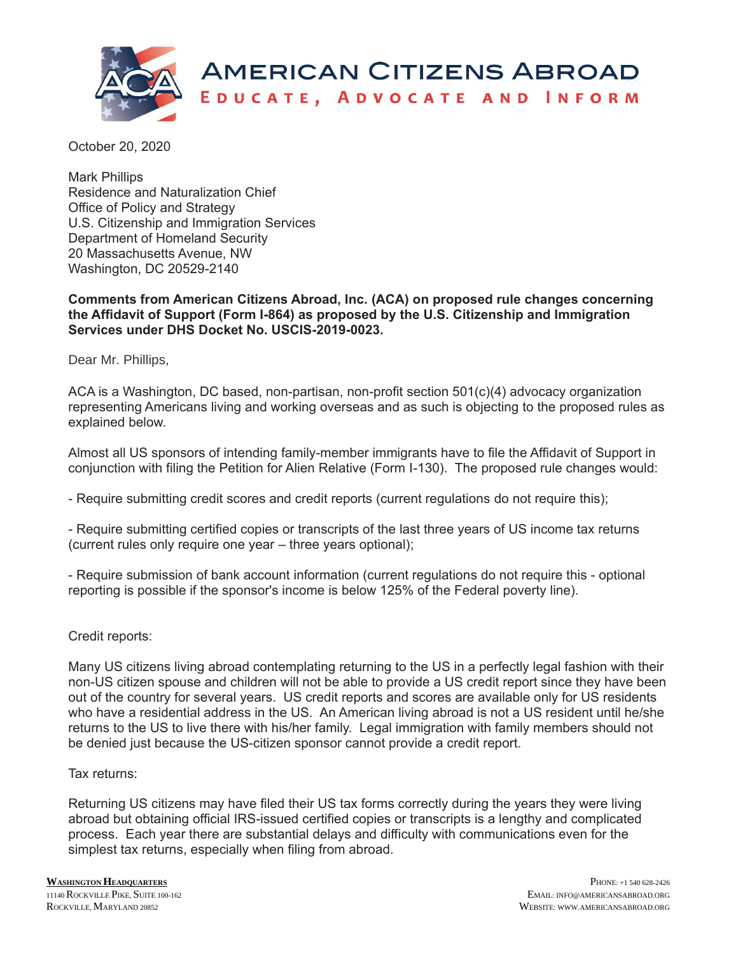

October 20, 2020

Mark Phillips Residence and Naturalization Chief Office of Policy and Strategy U.S. Citizenship and Immigration Services Department of Homeland Security 20 Massachusetts Avenue, NW Washington, DC 20529-2140

## **Comments from American Citizens Abroad, Inc. (ACA) on proposed rule changes concerning the Affidavit of Support (Form I-864) as proposed by the U.S. Citizenship and Immigration Services under DHS Docket No. USCIS-2019-0023.**

Dear Mr. Phillips,

ACA is a Washington, DC based, non-partisan, non-profit section 501(c)(4) advocacy organization representing Americans living and working overseas and as such is objecting to the proposed rules as explained below.

Almost all US sponsors of intending family-member immigrants have to file the Affidavit of Support in conjunction with filing the Petition for Alien Relative (Form I-130). The proposed rule changes would:

- Require submitting credit scores and credit reports (current regulations do not require this);

- Require submitting certified copies or transcripts of the last three years of US income tax returns (current rules only require one year – three years optional);

- Require submission of bank account information (current regulations do not require this - optional reporting is possible if the sponsor's income is below 125% of the Federal poverty line).

## Credit reports:

Many US citizens living abroad contemplating returning to the US in a perfectly legal fashion with their non-US citizen spouse and children will not be able to provide a US credit report since they have been out of the country for several years. US credit reports and scores are available only for US residents who have a residential address in the US. An American living abroad is not a US resident until he/she returns to the US to live there with his/her family. Legal immigration with family members should not be denied just because the US-citizen sponsor cannot provide a credit report.

## Tax returns:

Returning US citizens may have filed their US tax forms correctly during the years they were living abroad but obtaining official IRS-issued certified copies or transcripts is a lengthy and complicated process. Each year there are substantial delays and difficulty with communications even for the simplest tax returns, especially when filing from abroad.

**WASHINGTON HEADQUARTERS** <sup>11140</sup>ROCKVILLE PIKE, SUITE 100-162 ROCKVILLE MARYLAND 20852

PHONE: +1 540 628-2426 EMAIL: INFO@AMERICANSABROAD.ORG WEBSITE: WWW.AMERICANSABROAD.ORG